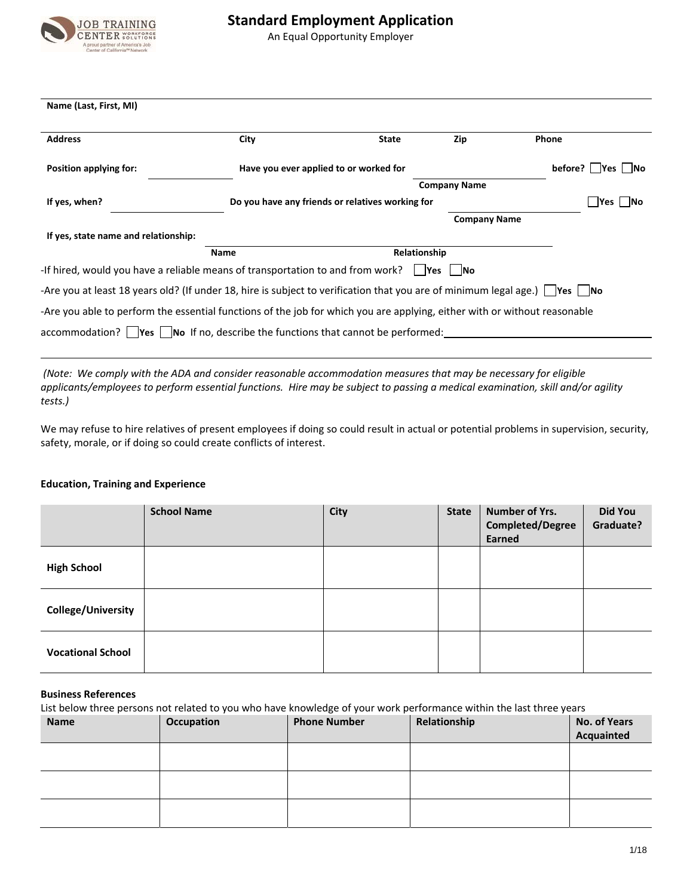

# **Standard Employment Application**

An Equal Opportunity Employer

| Name (Last, First, MI)                                                                                                       |                                                          |                                        |                     |                          |
|------------------------------------------------------------------------------------------------------------------------------|----------------------------------------------------------|----------------------------------------|---------------------|--------------------------|
| <b>Address</b>                                                                                                               | City                                                     | <b>State</b>                           | Zip                 | Phone                    |
| Position applying for:                                                                                                       |                                                          | Have you ever applied to or worked for |                     | $before?$   $Yes$   $No$ |
|                                                                                                                              |                                                          |                                        | <b>Company Name</b> |                          |
| If yes, when?                                                                                                                | Do you have any friends or relatives working for<br> Yes |                                        |                     | <b>No</b>                |
|                                                                                                                              |                                                          |                                        | <b>Company Name</b> |                          |
| If yes, state name and relationship:                                                                                         |                                                          |                                        |                     |                          |
|                                                                                                                              | <b>Name</b>                                              |                                        | Relationship        |                          |
| -If hired, would you have a reliable means of transportation to and from work? $\Box$ Yes $\Box$ No                          |                                                          |                                        |                     |                          |
| -Are you at least 18 years old? (If under 18, hire is subject to verification that you are of minimum legal age.)   Yes   No |                                                          |                                        |                     |                          |
| -Are you able to perform the essential functions of the job for which you are applying, either with or without reasonable    |                                                          |                                        |                     |                          |
| $\alpha$ accommodation? $\alpha$ Yes $\alpha$ Ino If no, describe the functions that cannot be performed:                    |                                                          |                                        |                     |                          |
|                                                                                                                              |                                                          |                                        |                     |                          |

(Note: We comply with the ADA and consider reasonable accommodation measures that may be necessary for eligible applicants/employees to perform essential functions. Hire may be subject to passing a medical examination, skill and/or agility *tests.)*

We may refuse to hire relatives of present employees if doing so could result in actual or potential problems in supervision, security, safety, morale, or if doing so could create conflicts of interest.

|                           | <b>School Name</b> | City | <b>State</b> | Number of Yrs.<br><b>Completed/Degree</b><br>Earned | <b>Did You</b><br>Graduate? |
|---------------------------|--------------------|------|--------------|-----------------------------------------------------|-----------------------------|
| <b>High School</b>        |                    |      |              |                                                     |                             |
| <b>College/University</b> |                    |      |              |                                                     |                             |
| <b>Vocational School</b>  |                    |      |              |                                                     |                             |

#### **Education, Training and Experience**

### **Business References**

| List below three persons not related to you who have knowledge of your work performance within the last three years |                   |                     |              |                     |
|---------------------------------------------------------------------------------------------------------------------|-------------------|---------------------|--------------|---------------------|
| <b>Name</b>                                                                                                         | <b>Occupation</b> | <b>Phone Number</b> | Relationship | <b>No. of Years</b> |
|                                                                                                                     |                   |                     |              | Acquainted          |
|                                                                                                                     |                   |                     |              |                     |
|                                                                                                                     |                   |                     |              |                     |
|                                                                                                                     |                   |                     |              |                     |
|                                                                                                                     |                   |                     |              |                     |
|                                                                                                                     |                   |                     |              |                     |
|                                                                                                                     |                   |                     |              |                     |